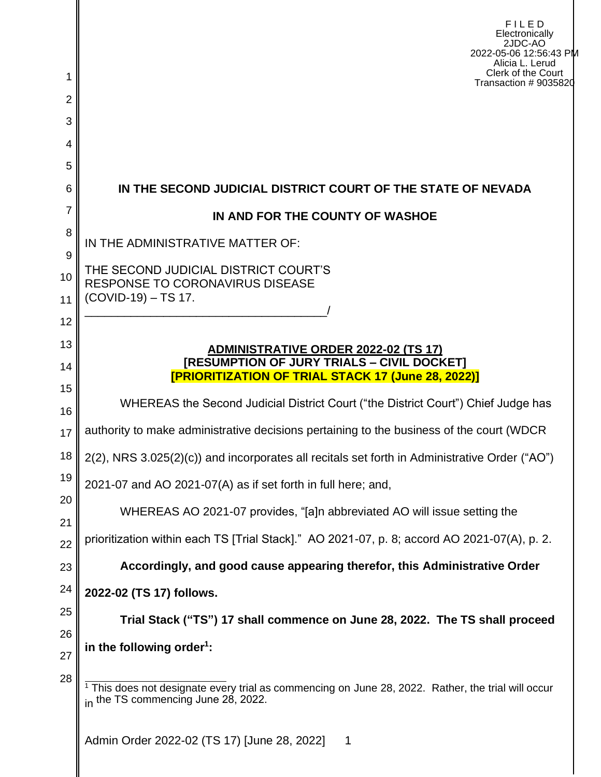|               | FILED<br>Electronically<br>2JDC-AO<br>2022-05-06 12:56:43 PM<br>Alicia L. Lerud<br>Clerk of the Court                                   |  |
|---------------|-----------------------------------------------------------------------------------------------------------------------------------------|--|
| 2             | Transaction # 9035820                                                                                                                   |  |
| 3             |                                                                                                                                         |  |
| 4             |                                                                                                                                         |  |
| 5             |                                                                                                                                         |  |
| 6             | IN THE SECOND JUDICIAL DISTRICT COURT OF THE STATE OF NEVADA                                                                            |  |
| 7             | IN AND FOR THE COUNTY OF WASHOE                                                                                                         |  |
| 8             | IN THE ADMINISTRATIVE MATTER OF:                                                                                                        |  |
| 9<br>10<br>11 | THE SECOND JUDICIAL DISTRICT COURT'S<br><b>RESPONSE TO CORONAVIRUS DISEASE</b><br>(COVID-19) - TS 17.                                   |  |
| 12            |                                                                                                                                         |  |
| 13            | <u>ADMINISTRATIVE ORDER 2022-02 (TS 17)</u>                                                                                             |  |
| 14            | [RESUMPTION OF JURY TRIALS - CIVIL DOCKET]<br><b>[PRIORITIZATION OF TRIAL STACK 17 (June 28, 2022)]</b>                                 |  |
| 15<br>16      | WHEREAS the Second Judicial District Court ("the District Court") Chief Judge has                                                       |  |
| 17            | authority to make administrative decisions pertaining to the business of the court (WDCR                                                |  |
| 18            | 2(2), NRS 3.025(2)(c)) and incorporates all recitals set forth in Administrative Order ("AO")                                           |  |
| 19            | 2021-07 and AO 2021-07(A) as if set forth in full here; and,                                                                            |  |
| 20            | WHEREAS AO 2021-07 provides, "[a]n abbreviated AO will issue setting the                                                                |  |
| 21<br>22      | prioritization within each TS [Trial Stack]." AO 2021-07, p. 8; accord AO 2021-07(A), p. 2.                                             |  |
| 23            | Accordingly, and good cause appearing therefor, this Administrative Order                                                               |  |
| 24            | 2022-02 (TS 17) follows.                                                                                                                |  |
| 25            | Trial Stack ("TS") 17 shall commence on June 28, 2022. The TS shall proceed                                                             |  |
| 26            | in the following order <sup>1</sup> :                                                                                                   |  |
| 27            |                                                                                                                                         |  |
| 28            | This does not designate every trial as commencing on June 28, 2022. Rather, the trial will occur<br>in the TS commencing June 28, 2022. |  |
|               |                                                                                                                                         |  |

Admin Order 2022-02 (TS 17) [June 28, 2022] 1